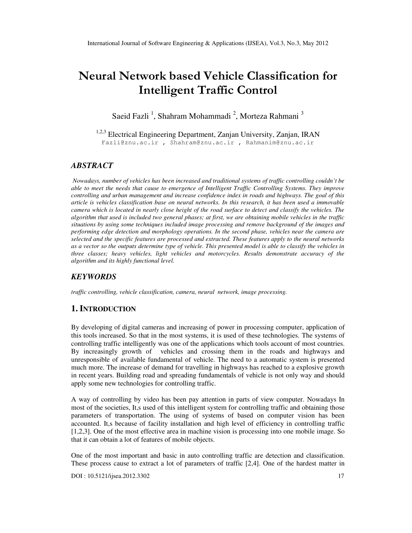# Neural Network based Vehicle Classification for Intelligent Traffic Control

Saeid Fazli<sup>1</sup>, Shahram Mohammadi<sup>2</sup>, Morteza Rahmani<sup>3</sup>

<sup>1,2,3</sup> Electrical Engineering Department, Zanjan University, Zanjan, IRAN Fazli@znu.ac.ir , Shahram@znu.ac.ir , Rahmanim@znu.ac.ir

### *ABSTRACT*

*Nowadays, number of vehicles has been increased and traditional systems of traffic controlling couldn't be able to meet the needs that cause to emergence of Intelligent Traffic Controlling Systems. They improve controlling and urban management and increase confidence index in roads and highways. The goal of this article is vehicles classification base on neural networks. In this research, it has been used a immovable camera which is located in nearly close height of the road surface to detect and classify the vehicles. The algorithm that used is included two general phases; at first, we are obtaining mobile vehicles in the traffic situations by using some techniques included image processing and remove background of the images and performing edge detection and morphology operations. In the second phase, vehicles near the camera are selected and the specific features are processed and extracted. These features apply to the neural networks as a vector so the outputs determine type of vehicle. This presented model is able to classify the vehicles in three classes; heavy vehicles, light vehicles and motorcycles. Results demonstrate accuracy of the algorithm and its highly functional level.* 

# *KEYWORDS*

*traffic controlling, vehicle classification, camera, neural network, image processing.* 

# **1. INTRODUCTION**

By developing of digital cameras and increasing of power in processing computer, application of this tools increased. So that in the most systems, it is used of these technologies. The systems of controlling traffic intelligently was one of the applications which tools account of most countries. By increasingly growth of vehicles and crossing them in the roads and highways and unresponsible of available fundamental of vehicle. The need to a automatic system is presented much more. The increase of demand for travelling in highways has reached to a explosive growth in recent years. Building road and spreading fundamentals of vehicle is not only way and should apply some new technologies for controlling traffic.

A way of controlling by video has been pay attention in parts of view computer. Nowadays In most of the societies, It,s used of this intelligent system for controlling traffic and obtaining those parameters of transportation. The using of systems of based on computer vision has been accounted. It,s because of facility installation and high level of efficiency in controlling traffic [1,2,3]. One of the most effective area in machine vision is processing into one mobile image. So that it can obtain a lot of features of mobile objects.

One of the most important and basic in auto controlling traffic are detection and classification. These process cause to extract a lot of parameters of traffic [2,4]. One of the hardest matter in

DOI : 10.5121/ijsea.2012.3302 17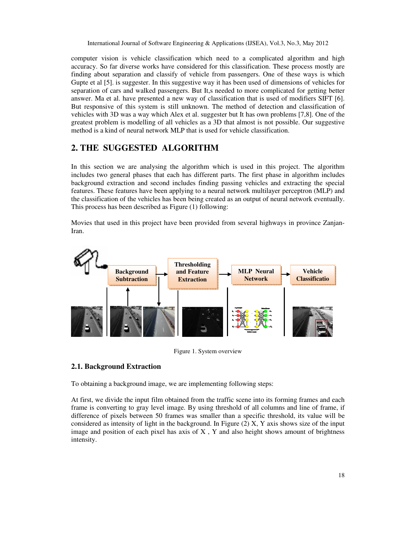computer vision is vehicle classification which need to a complicated algorithm and high accuracy. So far diverse works have considered for this classification. These process mostly are finding about separation and classify of vehicle from passengers. One of these ways is which Gupte et al [5]. is suggester. In this suggestive way it has been used of dimensions of vehicles for separation of cars and walked passengers. But It,s needed to more complicated for getting better answer. Ma et al. have presented a new way of classification that is used of modifiers SIFT [6]. But responsive of this system is still unknown. The method of detection and classification of vehicles with 3D was a way which Alex et al. suggester but It has own problems [7,8]. One of the greatest problem is modelling of all vehicles as a 3D that almost is not possible. Our suggestive method is a kind of neural network MLP that is used for vehicle classification.

# **2. THE SUGGESTED ALGORITHM**

In this section we are analysing the algorithm which is used in this project. The algorithm includes two general phases that each has different parts. The first phase in algorithm includes background extraction and second includes finding passing vehicles and extracting the special features. These features have been applying to a neural network multilayer perceptron (MLP) and the classification of the vehicles has been being created as an output of neural network eventually. This process has been described as Figure (1) following:

Movies that used in this project have been provided from several highways in province Zanjan-Iran.



Figure 1. System overview

#### **2.1. Background Extraction**

To obtaining a background image, we are implementing following steps:

At first, we divide the input film obtained from the traffic scene into its forming frames and each frame is converting to gray level image. By using threshold of all columns and line of frame, if difference of pixels between 50 frames was smaller than a specific threshold, its value will be considered as intensity of light in the background. In Figure  $(2)$  X, Y axis shows size of the input image and position of each pixel has axis of  $X$ ,  $Y$  and also height shows amount of brightness intensity.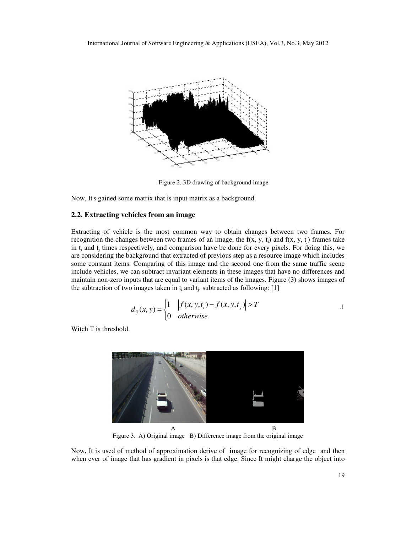

Figure 2. 3D drawing of background image

Now, It's gained some matrix that is input matrix as a background.

#### **2.2. Extracting vehicles from an image**

Extracting of vehicle is the most common way to obtain changes between two frames. For recognition the changes between two frames of an image, the  $f(x, y, t_i)$  and  $f(x, y, t_i)$  frames take in  $t_i$  and  $t_j$  times respectively, and comparison have be done for every pixels. For doing this, we are considering the background that extracted of previous step as a resource image which includes some constant items. Comparing of this image and the second one from the same traffic scene include vehicles, we can subtract invariant elements in these images that have no differences and maintain non-zero inputs that are equal to variant items of the images. Figure (3) shows images of the subtraction of two images taken in  $t_i$  and  $t_j$ . subtracted as following: [1]

$$
d_{ij}(x, y) = \begin{cases} 1 & |f(x, y, t_i) - f(x, y, t_j)| > T \\ 0 & otherwise. \end{cases}
$$

Witch T is threshold.



Figure 3. A) Original image B) Difference image from the original image

Now, It is used of method of approximation derive of image for recognizing of edge and then when ever of image that has gradient in pixels is that edge. Since It might charge the object into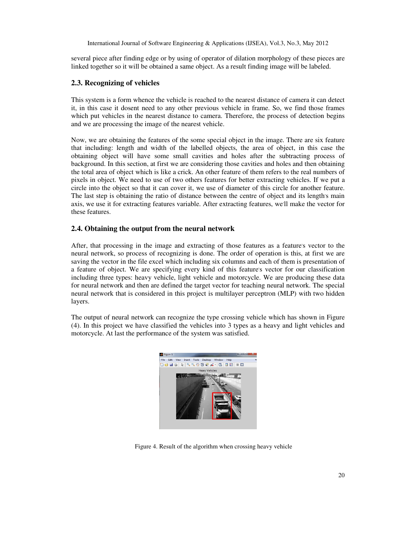International Journal of Software Engineering & Applications (IJSEA), Vol.3, No.3, May 2012

several piece after finding edge or by using of operator of dilation morphology of these pieces are linked together so it will be obtained a same object. As a result finding image will be labeled.

#### **2.3. Recognizing of vehicles**

This system is a form whence the vehicle is reached to the nearest distance of camera it can detect it, in this case it dosent need to any other previous vehicle in frame. So, we find those frames which put vehicles in the nearest distance to camera. Therefore, the process of detection begins and we are processing the image of the nearest vehicle.

Now, we are obtaining the features of the some special object in the image. There are six feature that including: length and width of the labelled objects, the area of object, in this case the obtaining object will have some small cavities and holes after the subtracting process of background. In this section, at first we are considering those cavities and holes and then obtaining the total area of object which is like a crick. An other feature of them refers to the real numbers of pixels in object. We need to use of two others features for better extracting vehicles. If we put a circle into the object so that it can cover it, we use of diameter of this circle for another feature. The last step is obtaining the ratio of distance between the centre of object and its length's main axis, we use it for extracting features variable. After extracting features, we'll make the vector for these features.

#### **2.4. Obtaining the output from the neural network**

After, that processing in the image and extracting of those features as a feature's vector to the neural network, so process of recognizing is done. The order of operation is this, at first we are saving the vector in the file excel which including six columns and each of them is presentation of a feature of object. We are specifying every kind of this feature's vector for our classification including three types: heavy vehicle, light vehicle and motorcycle. We are producing these data for neural network and then are defined the target vector for teaching neural network. The special neural network that is considered in this project is multilayer perceptron (MLP) with two hidden layers.

The output of neural network can recognize the type crossing vehicle which has shown in Figure (4). In this project we have classified the vehicles into 3 types as a heavy and light vehicles and motorcycle. At last the performance of the system was satisfied.



Figure 4. Result of the algorithm when crossing heavy vehicle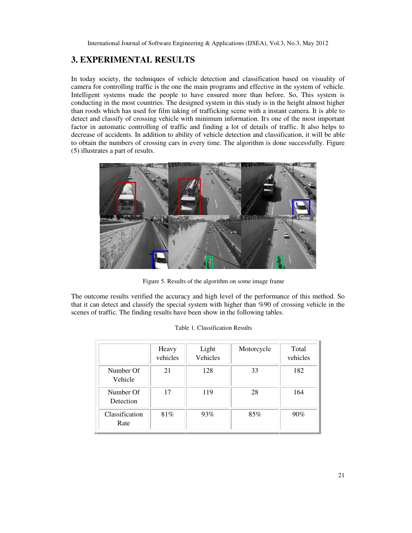International Journal of Software Engineering & Applications (IJSEA), Vol.3, No.3, May 2012

# **3. EXPERIMENTAL RESULTS**

In today society, the techniques of vehicle detection and classification based on visuality of camera for controlling traffic is the one the main programs and effective in the system of vehicle. Intelligent systems made the people to have ensured more than before. So, This system is conducting in the most countries. The designed system in this study is in the height almost higher than roods which has used for film taking of trafficking scene with a instant camera. It is able to detect and classify of crossing vehicle with minimum information. It's one of the most important factor in automatic controlling of traffic and finding a lot of details of traffic. It also helps to decrease of accidents. In addition to ability of vehicle detection and classification, it will be able to obtain the numbers of crossing cars in every time. The algorithm is done successfully. Figure (5) illustrates a part of results.



Figure 5. Results of the algorithm on some image frame

The outcome results verified the accuracy and high level of the performance of this method. So that it can detect and classify the special system with higher than %90 of crossing vehicle in the scenes of traffic. The finding results have been show in the following tables.

|                        | Heavy<br>vehicles | Light<br>Vehicles | Motorcycle | Total<br>vehicles |
|------------------------|-------------------|-------------------|------------|-------------------|
| Number Of<br>Vehicle   | 21                | 128               | 33         | 182               |
| Number Of<br>Detection | 17                | 119               | 28         | 164               |
| Classification<br>Rate | 81%               | 93%               | 85%        | 90%               |

| Table 1. Classification Results |  |
|---------------------------------|--|
|---------------------------------|--|